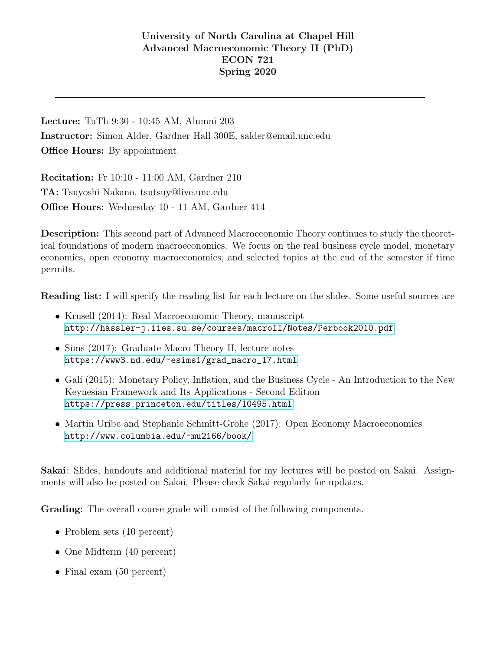Lecture: TuTh 9:30 - 10:45 AM, Alumni 203 Instructor: Simon Alder, Gardner Hall 300E, salder@email.unc.edu **Office Hours:** By appointment.

Recitation: Fr 10:10 - 11:00 AM, Gardner 210 TA: Tsuyoshi Nakano, tsutsuy@live.unc.edu Office Hours: Wednesday 10 - 11 AM, Gardner 414

Description: This second part of Advanced Macroeconomic Theory continues to study the theoretical foundations of modern macroeconomics. We focus on the real business cycle model, monetary economics, open economy macroeconomics, and selected topics at the end of the semester if time permits.

Reading list: I will specify the reading list for each lecture on the slides. Some useful sources are

- Krusell (2014): Real Macroeconomic Theory, manuscript <http://hassler-j.iies.su.se/courses/macroII/Notes/Perbook2010.pdf>
- Sims (2017): Graduate Macro Theory II, lecture notes [https://www3.nd.edu/~esims1/grad\\_macro\\_17.html](https://www3.nd.edu/~esims1/grad_macro_17.html)
- Galí (2015): Monetary Policy, Inflation, and the Business Cycle An Introduction to the New Keynesian Framework and Its Applications - Second Edition <https://press.princeton.edu/titles/10495.html>
- Martin Uribe and Stephanie Schmitt-Grohe (2017): Open Economy Macroeconomics <http://www.columbia.edu/~mu2166/book/>

Sakai: Slides, handouts and additional material for my lectures will be posted on Sakai. Assignments will also be posted on Sakai. Please check Sakai regularly for updates.

Grading: The overall course grade will consist of the following components.

- Problem sets (10 percent)
- One Midterm (40 percent)
- Final exam (50 percent)